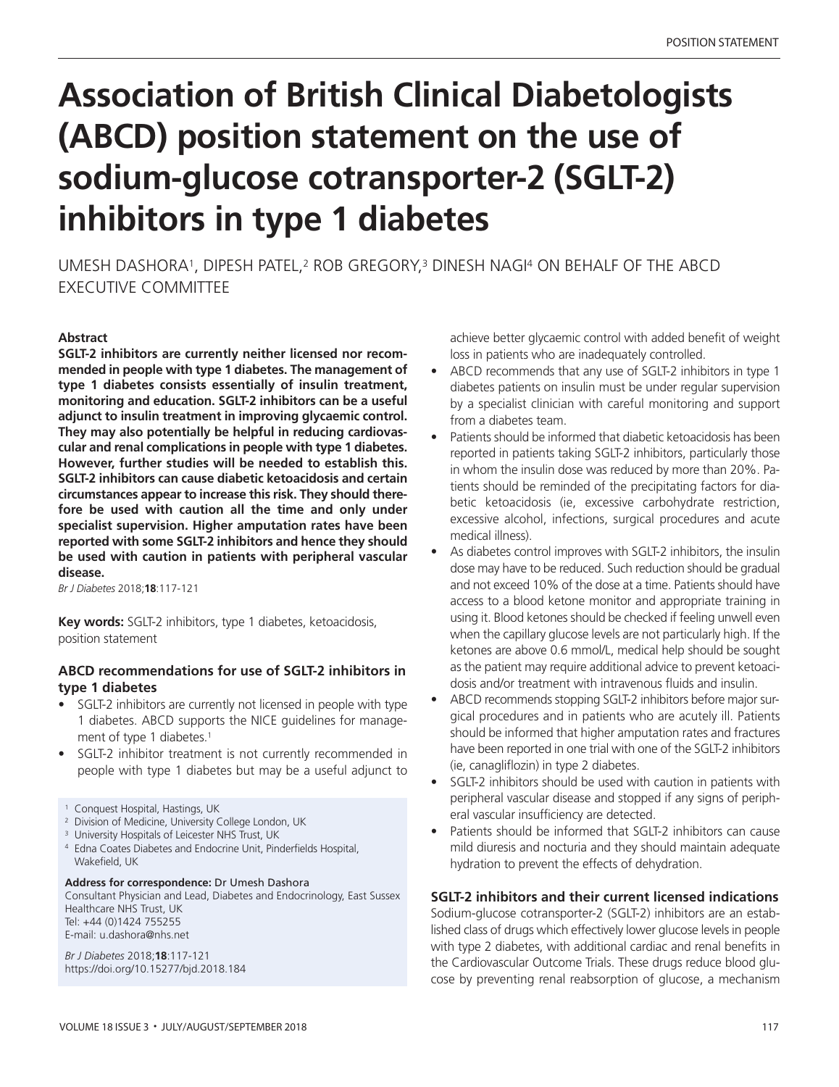# **Association of British Clinical Diabetologists (ABCD) position statement on the use of sodium-glucose cotransporter-2 (SGLT-2) inhibitors in type 1 diabetes**

UMESH DASHORA1, DIPESH PATEL, <sup>2</sup> ROB GREGORY, <sup>3</sup> DINESH NAGI <sup>4</sup> ON BEHALF OF THE ABCD EXECUTIVE COMMITTEE

# **Abstract**

**SGLT-2 inhibitors are currently neither licensed nor recommended in people with type 1 diabetes. The management of type 1 diabetes consists essentially of insulin treatment, monitoring and education. SGLT-2 inhibitors can be a useful adjunct to insulin treatment in improving glycaemic control. They may also potentially be helpful in reducing cardiovascular and renal complications in people with type 1 diabetes. However, further studies will be needed to establish this. SGLT-2 inhibitors can cause diabetic ketoacidosis and certain circumstances appear to increase this risk. They should therefore be used with caution all the time and only under specialist supervision. Higher amputation rates have been reported with some SGLT-2 inhibitors and hence they should be used with caution in patients with peripheral vascular disease.**

*Br J Diabetes* 2018;**18**:117-121

**Key words:** SGLT-2 inhibitors, type 1 diabetes, ketoacidosis, position statement

# **ABCD recommendations for use of SGLT-2 inhibitors in type 1 diabetes**

- SGLT-2 inhibitors are currently not licensed in people with type 1 diabetes. ABCD supports the NICE guidelines for management of type 1 diabetes. 1
- SGLT-2 inhibitor treatment is not currently recommended in people with type 1 diabetes but may be a useful adjunct to

- <sup>2</sup> Division of Medicine, University College London, UK
- <sup>3</sup> University Hospitals of Leicester NHS Trust, UK
- <sup>4</sup> Edna Coates Diabetes and Endocrine Unit, Pinderfields Hospital, Wakefield, UK

#### **Address for correspondence:** Dr Umesh Dashora

Consultant Physician and Lead, Diabetes and Endocrinology, East Sussex Healthcare NHS Trust, UK Tel: +44 (0)1424 755255 E-mail: u.dashora@nhs.net

*Br J Diabetes* 2018;**18**:117-121 https://doi.org/10.15277/bjd.2018.184 achieve better glycaemic control with added benefit of weight loss in patients who are inadequately controlled.

- ABCD recommends that any use of SGLT-2 inhibitors in type 1 diabetes patients on insulin must be under regular supervision by a specialist clinician with careful monitoring and support from a diabetes team.
- Patients should be informed that diabetic ketoacidosis has been reported in patients taking SGLT-2 inhibitors, particularly those in whom the insulin dose was reduced by more than 20%. Patients should be reminded of the precipitating factors for diabetic ketoacidosis (ie, excessive carbohydrate restriction, excessive alcohol, infections, surgical procedures and acute medical illness).
- As diabetes control improves with SGLT-2 inhibitors, the insulin dose may have to be reduced. Such reduction should be gradual and not exceed 10% of the dose at a time. Patients should have access to a blood ketone monitor and appropriate training in using it. Blood ketones should be checked if feeling unwell even when the capillary glucose levels are not particularly high. If the ketones are above 0.6 mmol/L, medical help should be sought as the patient may require additional advice to prevent ketoacidosis and/or treatment with intravenous fluids and insulin.
- ABCD recommends stopping SGLT-2 inhibitors before major surgical procedures and in patients who are acutely ill. Patients should be informed that higher amputation rates and fractures have been reported in one trial with one of the SGLT-2 inhibitors (ie, canagliflozin) in type 2 diabetes.
- SGLT-2 inhibitors should be used with caution in patients with peripheral vascular disease and stopped if any signs of peripheral vascular insufficiency are detected.
- Patients should be informed that SGLT-2 inhibitors can cause mild diuresis and nocturia and they should maintain adequate hydration to prevent the effects of dehydration.

# **SGLT-2 inhibitors and their current licensed indications**

Sodium-glucose cotransporter-2 (SGLT-2) inhibitors are an established class of drugs which effectively lower glucose levels in people with type 2 diabetes, with additional cardiac and renal benefits in the Cardiovascular Outcome Trials. These drugs reduce blood glucose by preventing renal reabsorption of glucose, a mechanism

<sup>&</sup>lt;sup>1</sup> Conquest Hospital, Hastings, UK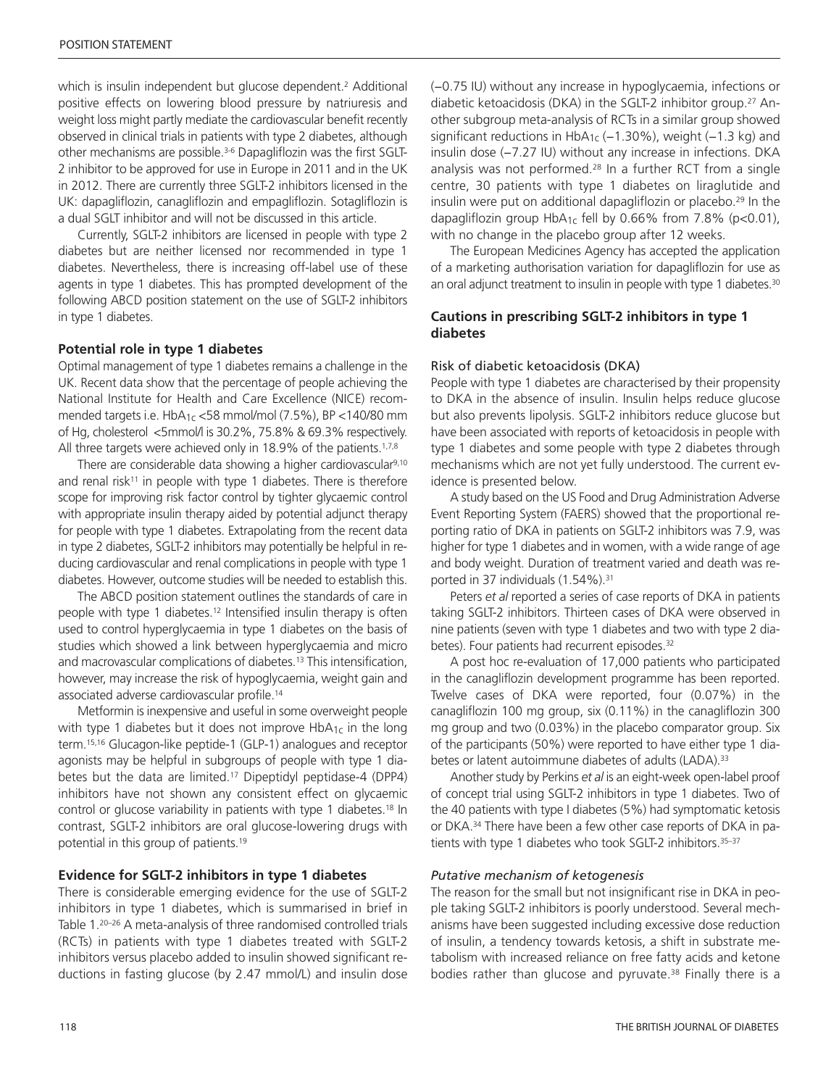which is insulin independent but glucose dependent. <sup>2</sup> Additional positive effects on lowering blood pressure by natriuresis and weight loss might partly mediate the cardiovascular benefit recently observed in clinical trials in patients with type 2 diabetes, although other mechanisms are possible. 3-6 Dapagliflozin was the first SGLT-2 inhibitor to be approved for use in Europe in 2011 and in the UK in 2012. There are currently three SGLT-2 inhibitors licensed in the UK: dapagliflozin, canagliflozin and empagliflozin. Sotagliflozin is a dual SGLT inhibitor and will not be discussed in this article.

Currently, SGLT-2 inhibitors are licensed in people with type 2 diabetes but are neither licensed nor recommended in type 1 diabetes. Nevertheless, there is increasing off-label use of these agents in type 1 diabetes. This has prompted development of the following ABCD position statement on the use of SGLT-2 inhibitors in type 1 diabetes.

## **Potential role in type 1 diabetes**

Optimal management of type 1 diabetes remains a challenge in the UK. Recent data show that the percentage of people achieving the National Institute for Health and Care Excellence (NICE) recommended targets i.e.  $HDA_{1c}$  <58 mmol/mol (7.5%), BP <140/80 mm of Hg, cholesterol <5mmol/l is 30.2%, 75.8% & 69.3% respectively. All three targets were achieved only in 18.9% of the patients.<sup>1,7,8</sup>

There are considerable data showing a higher cardiovascular<sup>9,10</sup> and renal risk<sup>11</sup> in people with type 1 diabetes. There is therefore scope for improving risk factor control by tighter glycaemic control with appropriate insulin therapy aided by potential adjunct therapy for people with type 1 diabetes. Extrapolating from the recent data in type 2 diabetes, SGLT-2 inhibitors may potentially be helpful in reducing cardiovascular and renal complications in people with type 1 diabetes. However, outcome studies will be needed to establish this.

The ABCD position statement outlines the standards of care in people with type 1 diabetes. <sup>12</sup> Intensified insulin therapy is often used to control hyperglycaemia in type 1 diabetes on the basis of studies which showed a link between hyperglycaemia and micro and macrovascular complications of diabetes. <sup>13</sup> This intensification, however, may increase the risk of hypoglycaemia, weight gain and associated adverse cardiovascular profile. 14

Metformin is inexpensive and useful in some overweight people with type 1 diabetes but it does not improve  $HbA_{1c}$  in the long term. 15,16 Glucagon-like peptide-1 (GLP-1) analogues and receptor agonists may be helpful in subgroups of people with type 1 diabetes but the data are limited. <sup>17</sup> Dipeptidyl peptidase-4 (DPP4) inhibitors have not shown any consistent effect on glycaemic control or glucose variability in patients with type 1 diabetes. <sup>18</sup> In contrast, SGLT-2 inhibitors are oral glucose-lowering drugs with potential in this group of patients. 19

#### **Evidence for SGLT-2 inhibitors in type 1 diabetes**

There is considerable emerging evidence for the use of SGLT-2 inhibitors in type 1 diabetes, which is summarised in brief in Table 1. 20–26 A meta-analysis of three randomised controlled trials (RCTs) in patients with type 1 diabetes treated with SGLT-2 inhibitors versus placebo added to insulin showed significant reductions in fasting glucose (by 2.47 mmol/L) and insulin dose

(−0.75 IU) without any increase in hypoglycaemia, infections or diabetic ketoacidosis (DKA) in the SGLT-2 inhibitor group. <sup>27</sup> Another subgroup meta-analysis of RCTs in a similar group showed significant reductions in HbA<sub>1c</sub> (−1.30%), weight (−1.3 kg) and insulin dose (−7.27 IU) without any increase in infections. DKA analysis was not performed.28 In a further RCT from a single centre, 30 patients with type 1 diabetes on liraglutide and insulin were put on additional dapagliflozin or placebo. <sup>29</sup> In the dapagliflozin group  $HbA_{1c}$  fell by 0.66% from 7.8% (p<0.01), with no change in the placebo group after 12 weeks.

The European Medicines Agency has accepted the application of a marketing authorisation variation for dapagliflozin for use as an oral adjunct treatment to insulin in people with type 1 diabetes.<sup>30</sup>

# **Cautions in prescribing SGLT-2 inhibitors in type 1 diabetes**

#### Risk of diabetic ketoacidosis (DKA)

People with type 1 diabetes are characterised by their propensity to DKA in the absence of insulin. Insulin helps reduce glucose but also prevents lipolysis. SGLT-2 inhibitors reduce glucose but have been associated with reports of ketoacidosis in people with type 1 diabetes and some people with type 2 diabetes through mechanisms which are not yet fully understood. The current evidence is presented below.

A study based on the US Food and Drug Administration Adverse Event Reporting System (FAERS) showed that the proportional reporting ratio of DKA in patients on SGLT-2 inhibitors was 7.9, was higher for type 1 diabetes and in women, with a wide range of age and body weight. Duration of treatment varied and death was reported in 37 individuals (1.54%). 31

Peters *et al* reported a series of case reports of DKA in patients taking SGLT-2 inhibitors. Thirteen cases of DKA were observed in nine patients (seven with type 1 diabetes and two with type 2 diabetes). Four patients had recurrent episodes. 32

A post hoc re-evaluation of 17,000 patients who participated in the canagliflozin development programme has been reported. Twelve cases of DKA were reported, four (0.07%) in the canagliflozin 100 mg group, six (0.11%) in the canagliflozin 300 mg group and two (0.03%) in the placebo comparator group. Six of the participants (50%) were reported to have either type 1 diabetes or latent autoimmune diabetes of adults (LADA). 33

Another study by Perkins *et al* is an eight-week open-label proof of concept trial using SGLT-2 inhibitors in type 1 diabetes. Two of the 40 patients with type I diabetes (5%) had symptomatic ketosis or DKA. <sup>34</sup> There have been a few other case reports of DKA in patients with type 1 diabetes who took SGLT-2 inhibitors. 35–37

# *Putative mechanism of ketogenesis*

The reason for the small but not insignificant rise in DKA in people taking SGLT-2 inhibitors is poorly understood. Several mechanisms have been suggested including excessive dose reduction of insulin, a tendency towards ketosis, a shift in substrate metabolism with increased reliance on free fatty acids and ketone bodies rather than glucose and pyruvate.<sup>38</sup> Finally there is a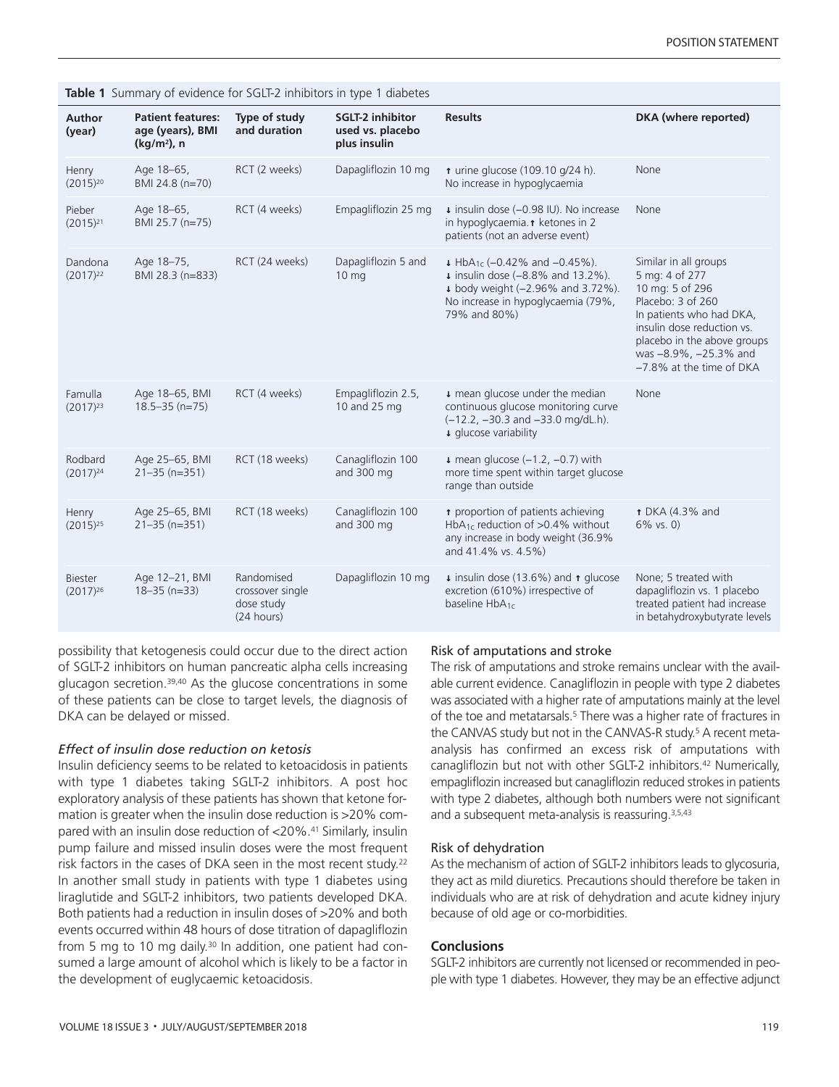| <b>Table 1</b> Summary of evidence for SGLI-2 inhibitors in type 1 diabetes |                                                               |                                                            |                                                             |                                                                                                                                                                                     |                                                                                                                                                                                                                               |
|-----------------------------------------------------------------------------|---------------------------------------------------------------|------------------------------------------------------------|-------------------------------------------------------------|-------------------------------------------------------------------------------------------------------------------------------------------------------------------------------------|-------------------------------------------------------------------------------------------------------------------------------------------------------------------------------------------------------------------------------|
| <b>Author</b><br>(year)                                                     | <b>Patient features:</b><br>age (years), BMI<br>$(kq/m2)$ , n | Type of study<br>and duration                              | <b>SGLT-2 inhibitor</b><br>used vs. placebo<br>plus insulin | <b>Results</b>                                                                                                                                                                      | DKA (where reported)                                                                                                                                                                                                          |
| Henry<br>$(2015)^{20}$                                                      | Age 18-65,<br>BMI 24.8 (n=70)                                 | RCT (2 weeks)                                              | Dapagliflozin 10 mg                                         | $\uparrow$ urine glucose (109.10 g/24 h).<br>No increase in hypoglycaemia                                                                                                           | None                                                                                                                                                                                                                          |
| Pieber<br>$(2015)^{21}$                                                     | Age 18-65,<br>BMI 25.7 (n=75)                                 | RCT (4 weeks)                                              | Empagliflozin 25 mg                                         | ↓ insulin dose (-0.98 IU). No increase<br>in hypoglycaemia. t ketones in 2<br>patients (not an adverse event)                                                                       | None                                                                                                                                                                                                                          |
| Dandona<br>(2017) <sup>22</sup>                                             | Age 18-75,<br>BMI 28.3 (n=833)                                | RCT (24 weeks)                                             | Dapagliflozin 5 and<br>10 <sub>mg</sub>                     | $\downarrow$ HbA <sub>1c</sub> (-0.42% and -0.45%).<br>↓ insulin dose (-8.8% and 13.2%).<br>+ body weight (-2.96% and 3.72%).<br>No increase in hypoglycaemia (79%,<br>79% and 80%) | Similar in all groups<br>5 mg: 4 of 277<br>10 mg: 5 of 296<br>Placebo: 3 of 260<br>In patients who had DKA,<br>insulin dose reduction vs.<br>placebo in the above groups<br>was -8.9%, -25.3% and<br>-7.8% at the time of DKA |
| Famulla<br>$(2017)^{23}$                                                    | Age 18-65, BMI<br>$18.5 - 35$ (n=75)                          | RCT (4 weeks)                                              | Empagliflozin 2.5,<br>10 and 25 mg                          | # mean glucose under the median<br>continuous glucose monitoring curve<br>$(-12.2, -30.3$ and $-33.0$ mg/dL.h).<br>+ glucose variability                                            | None                                                                                                                                                                                                                          |
| Rodbard<br>(2017) <sup>24</sup>                                             | Age 25-65, BMI<br>$21 - 35$ (n=351)                           | RCT (18 weeks)                                             | Canagliflozin 100<br>and 300 mg                             | $\sqrt{2}$ mean glucose (-1.2, -0.7) with<br>more time spent within target glucose<br>range than outside                                                                            |                                                                                                                                                                                                                               |
| Henry<br>$(2015)^{25}$                                                      | Age 25-65, BMI<br>$21 - 35$ (n=351)                           | RCT (18 weeks)                                             | Canagliflozin 100<br>and 300 mg                             | <b>t</b> proportion of patients achieving<br>HbA <sub>1c</sub> reduction of $>0.4\%$ without<br>any increase in body weight (36.9%<br>and 41.4% vs. 4.5%)                           | <b>t</b> DKA (4.3% and<br>6% vs. 0)                                                                                                                                                                                           |
| Biester<br>$(2017)^{26}$                                                    | Age 12-21, BMI<br>$18 - 35$ (n=33)                            | Randomised<br>crossover single<br>dose study<br>(24 hours) | Dapagliflozin 10 mg                                         | $\downarrow$ insulin dose (13.6%) and $\uparrow$ glucose<br>excretion (610%) irrespective of<br>baseline $HbA_{1c}$                                                                 | None; 5 treated with<br>dapagliflozin vs. 1 placebo<br>treated patient had increase<br>in betahydroxybutyrate levels                                                                                                          |
|                                                                             |                                                               |                                                            |                                                             |                                                                                                                                                                                     |                                                                                                                                                                                                                               |

possibility that ketogenesis could occur due to the direct action of SGLT-2 inhibitors on human pancreatic alpha cells increasing glucagon secretion. 39,40 As the glucose concentrations in some of these patients can be close to target levels, the diagnosis of DKA can be delayed or missed.

**Table 1** Summary of evidence for SGLT-2 inhibitors in type 1 diabetes

## *Effect of insulin dose reduction on ketosis*

Insulin deficiency seems to be related to ketoacidosis in patients with type 1 diabetes taking SGLT-2 inhibitors. A post hoc exploratory analysis of these patients has shown that ketone formation is greater when the insulin dose reduction is >20% compared with an insulin dose reduction of <20%. <sup>41</sup> Similarly, insulin pump failure and missed insulin doses were the most frequent risk factors in the cases of DKA seen in the most recent study.<sup>22</sup> In another small study in patients with type 1 diabetes using liraglutide and SGLT-2 inhibitors, two patients developed DKA. Both patients had a reduction in insulin doses of >20% and both events occurred within 48 hours of dose titration of dapagliflozin from 5 mg to 10 mg daily. <sup>30</sup> In addition, one patient had consumed a large amount of alcohol which is likely to be a factor in the development of euglycaemic ketoacidosis.

#### Risk of amputations and stroke

The risk of amputations and stroke remains unclear with the available current evidence. Canagliflozin in people with type 2 diabetes was associated with a higher rate of amputations mainly at the level of the toe and metatarsals. <sup>5</sup> There was a higher rate of fractures in the CANVAS study but not in the CANVAS-R study. <sup>5</sup> A recent metaanalysis has confirmed an excess risk of amputations with canagliflozin but not with other SGLT-2 inhibitors. <sup>42</sup> Numerically, empagliflozin increased but canagliflozin reduced strokes in patients with type 2 diabetes, although both numbers were not significant and a subsequent meta-analysis is reassuring. 3,5,43

#### Risk of dehydration

As the mechanism of action of SGLT-2 inhibitors leads to glycosuria, they act as mild diuretics. Precautions should therefore be taken in individuals who are at risk of dehydration and acute kidney injury because of old age or co-morbidities.

#### **Conclusions**

SGLT-2 inhibitors are currently not licensed or recommended in people with type 1 diabetes. However, they may be an effective adjunct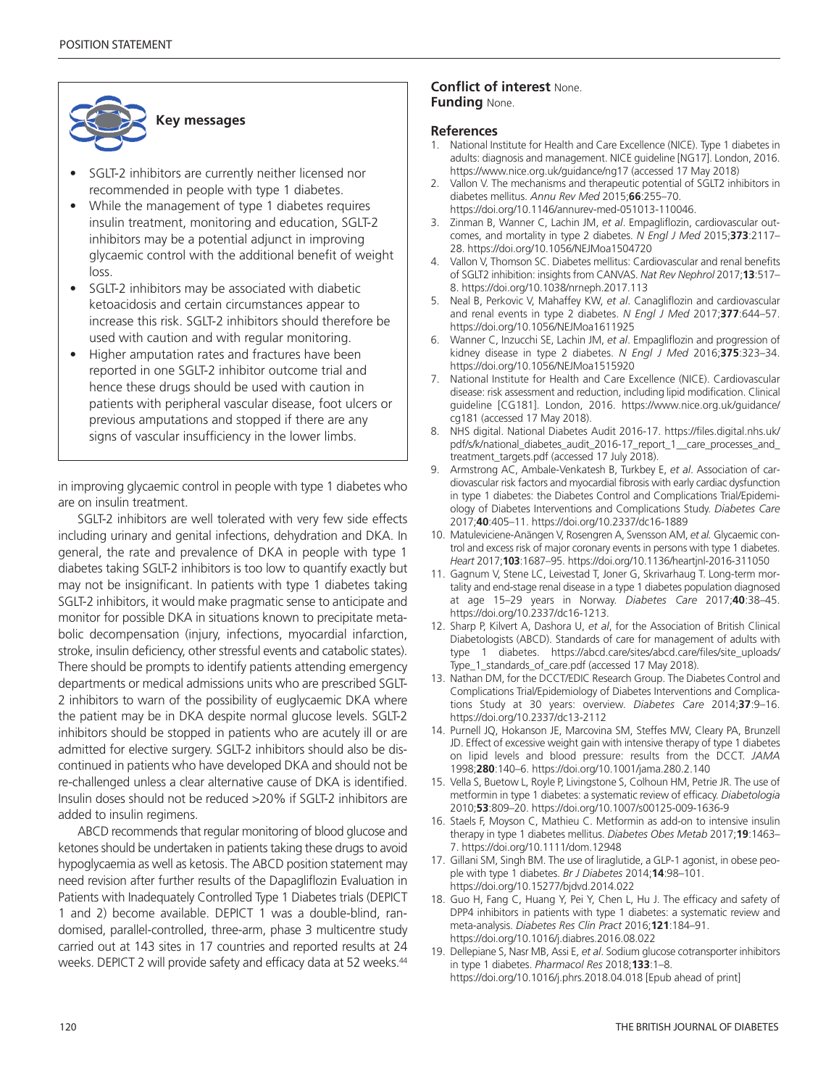

- SGLT-2 inhibitors are currently neither licensed nor recommended in people with type 1 diabetes.
- While the management of type 1 diabetes requires insulin treatment, monitoring and education, SGLT-2 inhibitors may be a potential adjunct in improving glycaemic control with the additional benefit of weight loss.
- SGLT-2 inhibitors may be associated with diabetic ketoacidosis and certain circumstances appear to increase this risk. SGLT-2 inhibitors should therefore be used with caution and with regular monitoring.
- Higher amputation rates and fractures have been reported in one SGLT-2 inhibitor outcome trial and hence these drugs should be used with caution in patients with peripheral vascular disease, foot ulcers or previous amputations and stopped if there are any signs of vascular insufficiency in the lower limbs.

in improving glycaemic control in people with type 1 diabetes who are on insulin treatment.

SGLT-2 inhibitors are well tolerated with very few side effects including urinary and genital infections, dehydration and DKA. In general, the rate and prevalence of DKA in people with type 1 diabetes taking SGLT-2 inhibitors is too low to quantify exactly but may not be insignificant. In patients with type 1 diabetes taking SGLT-2 inhibitors, it would make pragmatic sense to anticipate and monitor for possible DKA in situations known to precipitate metabolic decompensation (injury, infections, myocardial infarction, stroke, insulin deficiency, other stressful events and catabolic states). There should be prompts to identify patients attending emergency departments or medical admissions units who are prescribed SGLT-2 inhibitors to warn of the possibility of euglycaemic DKA where the patient may be in DKA despite normal glucose levels. SGLT-2 inhibitors should be stopped in patients who are acutely ill or are admitted for elective surgery. SGLT-2 inhibitors should also be discontinued in patients who have developed DKA and should not be re-challenged unless a clear alternative cause of DKA is identified. Insulin doses should not be reduced >20% if SGLT-2 inhibitors are added to insulin regimens.

ABCD recommends that regular monitoring of blood glucose and ketones should be undertaken in patients taking these drugs to avoid hypoglycaemia as well as ketosis. The ABCD position statement may need revision after further results of the Dapagliflozin Evaluation in Patients with Inadequately Controlled Type 1 Diabetes trials (DEPICT 1 and 2) become available. DEPICT 1 was a double-blind, randomised, parallel-controlled, three-arm, phase 3 multicentre study carried out at 143 sites in 17 countries and reported results at 24 weeks. DEPICT 2 will provide safety and efficacy data at 52 weeks. 44

## **Conflict of interest** None. **Funding** None.

#### **References**

- 1. National Institute for Health and Care Excellence (NICE). Type 1 diabetes in adults: diagnosis and management. NICE guideline [NG17]. London, 2016. https://www.nice.org.uk/guidance/ng17 (accessed 17 May 2018)
- 2. Vallon V. The mechanisms and therapeutic potential of SGLT2 inhibitors in diabetes mellitus. *Annu Rev Med* 2015;**66**:255–70. https://doi.org/10.1146/annurev-med-051013-110046.
- 3. Zinman B, Wanner C, Lachin JM, *et al*. Empagliflozin, cardiovascular outcomes, and mortality in type 2 diabetes. *N Engl J Med* 2015;**373**:2117– 28. https://doi.org/10.1056/NEJMoa1504720
- 4. Vallon V, Thomson SC. Diabetes mellitus: Cardiovascular and renal benefits of SGLT2 inhibition: insights from CANVAS. *Nat Rev Nephrol* 2017;**13**:517– 8. https://doi.org/10.1038/nrneph.2017.113
- 5. Neal B, Perkovic V, Mahaffey KW, *et al*. Canagliflozin and cardiovascular and renal events in type 2 diabetes. *N Engl J Med* 2017;**377**:644–57. https://doi.org/10.1056/NEJMoa1611925
- 6. Wanner C, Inzucchi SE, Lachin JM, *et al*. Empagliflozin and progression of kidney disease in type 2 diabetes. *N Engl J Med* 2016;**375**:323–34. https://doi.org/10.1056/NEJMoa1515920
- 7. National Institute for Health and Care Excellence (NICE). Cardiovascular disease: risk assessment and reduction, including lipid modification. Clinical guideline [CG181]. London, 2016. https://www.nice.org.uk/guidance/ cg181 (accessed 17 May 2018).
- 8. NHS digital. National Diabetes Audit 2016-17. https://files.digital.nhs.uk/ pdf/s/k/national\_diabetes\_audit\_2016-17\_report\_1\_\_care\_processes\_and\_ treatment\_targets.pdf (accessed 17 July 2018).
- 9. Armstrong AC, Ambale-Venkatesh B, Turkbey E, *et al*. Association of cardiovascular risk factors and myocardial fibrosis with early cardiac dysfunction in type 1 diabetes: the Diabetes Control and Complications Trial/Epidemiology of Diabetes Interventions and Complications Study. *Diabetes Care* 2017;**40**:405–11. https://doi.org/10.2337/dc16-1889
- 10. Matuleviciene-Anängen V, Rosengren A, Svensson AM, *et al.* Glycaemic control and excess risk of major coronary events in persons with type 1 diabetes. *Heart* 2017;**103**:1687–95. https://doi.org/10.1136/heartjnl-2016-311050
- 11. Gagnum V, Stene LC, Leivestad T, Joner G, Skrivarhaug T. Long-term mortality and end-stage renal disease in a type 1 diabetes population diagnosed at age 15–29 years in Norway. *Diabetes Care* 2017;**40**:38–45. https://doi.org/10.2337/dc16-1213.
- 12. Sharp P, Kilvert A, Dashora U, *et al*, for the Association of British Clinical Diabetologists (ABCD). Standards of care for management of adults with type 1 diabetes. https://abcd.care/sites/abcd.care/files/site\_uploads/ Type\_1\_standards\_of\_care.pdf (accessed 17 May 2018).
- 13. Nathan DM, for the DCCT/EDIC Research Group. The Diabetes Control and Complications Trial/Epidemiology of Diabetes Interventions and Complications Study at 30 years: overview. *Diabetes Care* 2014;**37**:9–16. https://doi.org/10.2337/dc13-2112
- 14. Purnell JQ, Hokanson JE, Marcovina SM, Steffes MW, Cleary PA, Brunzell JD. Effect of excessive weight gain with intensive therapy of type 1 diabetes on lipid levels and blood pressure: results from the DCCT. *JAMA* 1998;**280**:140–6. https://doi.org/10.1001/jama.280.2.140
- 15. Vella S, Buetow L, Royle P, Livingstone S, Colhoun HM, Petrie JR. The use of metformin in type 1 diabetes: a systematic review of efficacy. *Diabetologia* 2010;**53**:809–20. https://doi.org/10.1007/s00125-009-1636-9
- 16. Staels F, Moyson C, Mathieu C. Metformin as add-on to intensive insulin therapy in type 1 diabetes mellitus. *Diabetes Obes Metab* 2017;**19**:1463– 7. https://doi.org/10.1111/dom.12948
- 17. Gillani SM, Singh BM. The use of liraglutide, a GLP-1 agonist, in obese people with type 1 diabetes. *Br J Diabetes* 2014;**14**:98–101. https://doi.org/10.15277/bjdvd.2014.022
- 18. Guo H, Fang C, Huang Y, Pei Y, Chen L, Hu J. The efficacy and safety of DPP4 inhibitors in patients with type 1 diabetes: a systematic review and meta-analysis. *Diabetes Res Clin Pract* 2016;**121**:184–91. https://doi.org/10.1016/j.diabres.2016.08.022
- 19. Dellepiane S, Nasr MB, Assi E, *et al*. Sodium glucose cotransporter inhibitors in type 1 diabetes. *Pharmacol Res* 2018;**133**:1–8. https://doi.org/10.1016/j.phrs.2018.04.018 [Epub ahead of print]